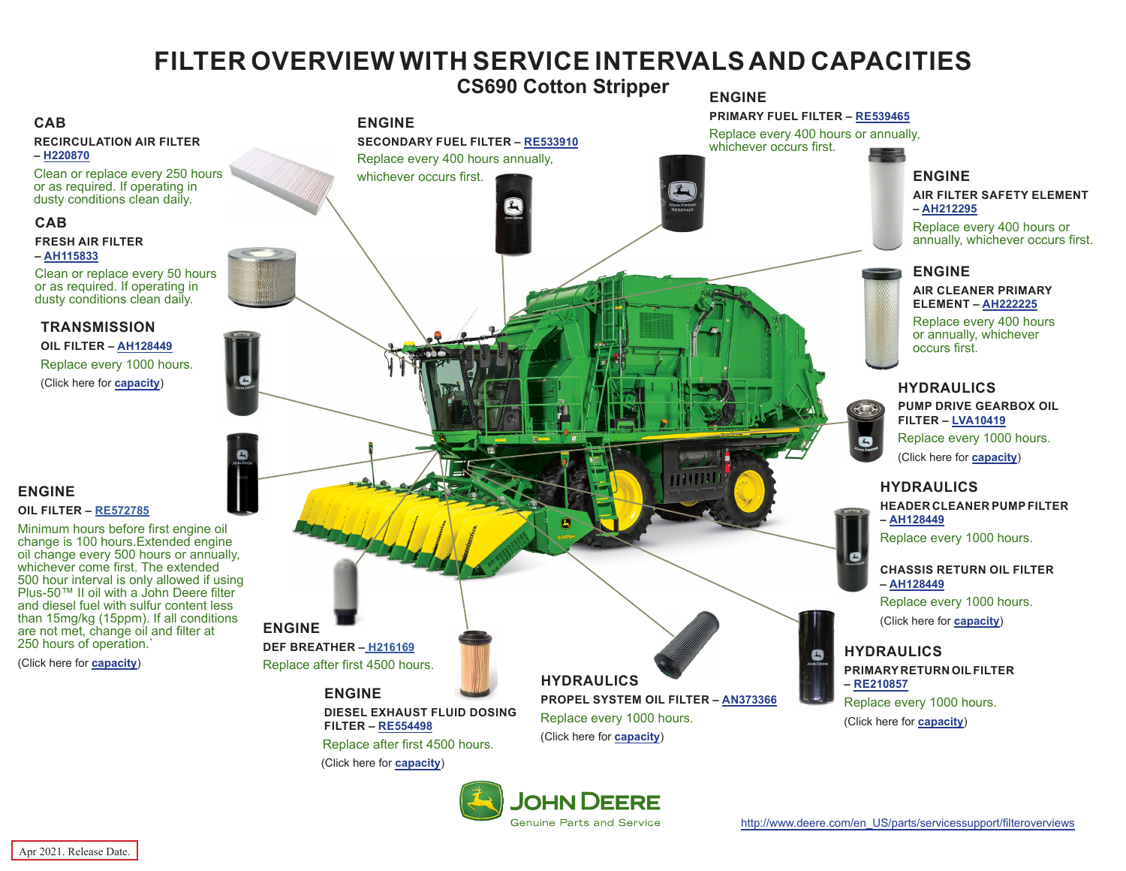# **FILTER OVERVIEW WITH SERVICE INTERVALS AND CAPACITIES**

**CS690 Cotton Stripper**

#### <span id="page-0-0"></span>**CAB**

**RECIRCULATION AIR FILTER – [H220870](https://jdparts.deere.com/servlet/com.deere.u90.jdparts.view.servlets.partinfocontroller.PartDetails?screenName=JDSearch&&partSearchNumber=H220870)**

Clean or replace every 250 hours or as required. If operating in dusty conditions clean daily.

#### **CAB**

#### **FRESH AIR FILTER – [AH115833](https://jdparts.deere.com/servlet/com.deere.u90.jdparts.view.servlets.partinfocontroller.PartDetails?screenName=JDSearch&&partSearchNumber=AH115833)**

Clean or replace every 50 hours or as required. If operating in dusty conditions clean daily.

#### **TRANSMISSION**

**OIL FILTER – [AH128449](https://jdparts.deere.com/servlet/com.deere.u90.jdparts.view.servlets.partinfocontroller.PartDetails?screenName=JDSearch&&partSearchNumber=AH128449)** Replace every 1000 hours. (Click here for **[capacity](#page-1-0)**)

#### **ENGINE OIL FILTER – [RE572785](https://jdparts.deere.com/servlet/com.deere.u90.jdparts.view.servlets.partinfocontroller.PartDetails?screenName=JDSearch&&partSearchNumber=RE572785)**

Minimum hours before first engine oil change is 100 hours.Extended engine oil change every 500 hours or annually, whichever come first. The extended 500 hour interval is only allowed if using Plus-50™ II oil with a John Deere filter and diesel fuel with sulfur content less than 15mg/kg (15ppm). If all conditions are not met, change oil and filter at 250 hours of operation.`

(Click here for **[capacity](#page-1-0)**)



**Genuine Parts and Service**